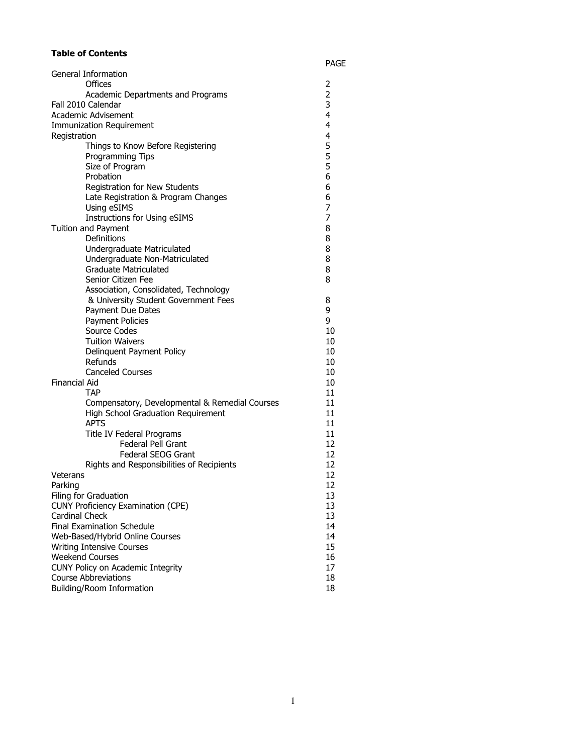## Table of Contents

|                                                | PAGE           |
|------------------------------------------------|----------------|
| <b>General Information</b>                     |                |
| Offices                                        | 2              |
| Academic Departments and Programs              | $\overline{2}$ |
| Fall 2010 Calendar                             | 3              |
| Academic Advisement                            | 4              |
| Immunization Requirement                       | 4              |
| Registration                                   | 4              |
| Things to Know Before Registering              | $\frac{5}{5}$  |
| Programming Tips                               |                |
| Size of Program                                | 5              |
| Probation                                      | 6              |
| Registration for New Students                  | 6              |
| Late Registration & Program Changes            | 6              |
| Using eSIMS                                    | 7              |
| Instructions for Using eSIMS                   | 7              |
| Tuition and Payment                            | 8              |
| Definitions                                    | 8              |
| Undergraduate Matriculated                     | 8              |
| Undergraduate Non-Matriculated                 | 8              |
| <b>Graduate Matriculated</b>                   | 8              |
| Senior Citizen Fee                             | 8              |
| Association, Consolidated, Technology          |                |
| & University Student Government Fees           | 8              |
| Payment Due Dates                              | 9              |
| <b>Payment Policies</b>                        | 9              |
| Source Codes                                   | 10             |
| <b>Tuition Waivers</b>                         | 10             |
| Delinquent Payment Policy                      | 10             |
| Refunds                                        | 10             |
| <b>Canceled Courses</b>                        | 10             |
| <b>Financial Aid</b>                           | 10             |
| TAP                                            | 11             |
| Compensatory, Developmental & Remedial Courses | 11             |
| <b>High School Graduation Requirement</b>      | 11             |
| <b>APTS</b>                                    | 11             |
| Title IV Federal Programs                      | 11             |
| <b>Federal Pell Grant</b>                      | 12             |
| Federal SEOG Grant                             | 12             |
| Rights and Responsibilities of Recipients      | 12             |
| Veterans                                       | 12             |
| Parking                                        | 12             |
| Filing for Graduation                          | 13             |
| <b>CUNY Proficiency Examination (CPE)</b>      | 13             |
| <b>Cardinal Check</b>                          | 13             |
| <b>Final Examination Schedule</b>              | 14             |
| Web-Based/Hybrid Online Courses                | 14             |
| <b>Writing Intensive Courses</b>               | 15             |
| <b>Weekend Courses</b>                         | 16             |
| CUNY Policy on Academic Integrity              | 17             |
| Course Abbreviations                           | 18             |
| Building/Room Information                      | 18             |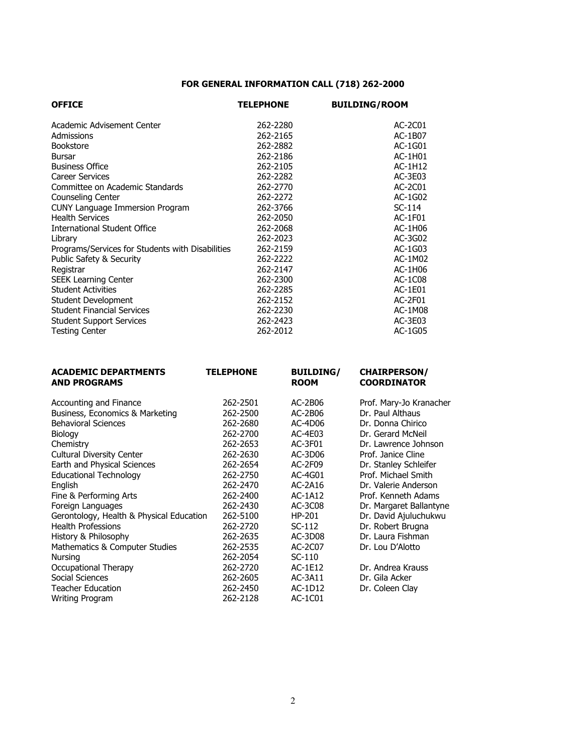# FOR GENERAL INFORMATION CALL (718) 262-2000

| <b>OFFICE</b>                                    | <b>TELEPHONE</b> | <b>BUILDING/ROOM</b> |
|--------------------------------------------------|------------------|----------------------|
| Academic Advisement Center                       | 262-2280         | AC-2C01              |
| Admissions                                       | 262-2165         | AC-1B07              |
| <b>Bookstore</b>                                 | 262-2882         | AC-1G01              |
| Bursar                                           | 262-2186         | AC-1H01              |
| <b>Business Office</b>                           | 262-2105         | AC-1H12              |
| <b>Career Services</b>                           | 262-2282         | AC-3E03              |
| Committee on Academic Standards                  | 262-2770         | $AC-2CO1$            |
| Counseling Center                                | 262-2272         | AC-1G02              |
| <b>CUNY Language Immersion Program</b>           | 262-3766         | $SC-114$             |
| <b>Health Services</b>                           | 262-2050         | AC-1F01              |
| International Student Office                     | 262-2068         | AC-1H06              |
| Library                                          | 262-2023         | AC-3G02              |
| Programs/Services for Students with Disabilities | 262-2159         | AC-1G03              |
| Public Safety & Security                         | 262-2222         | AC-1M02              |
| Registrar                                        | 262-2147         | AC-1H06              |
| <b>SEEK Learning Center</b>                      | 262-2300         | AC-1C08              |
| <b>Student Activities</b>                        | 262-2285         | AC-1E01              |
| <b>Student Development</b>                       | 262-2152         | AC-2F01              |
| <b>Student Financial Services</b>                | 262-2230         | AC-1M08              |
| <b>Student Support Services</b>                  | 262-2423         | AC-3E03              |
| <b>Testing Center</b>                            | 262-2012         | AC-1G05              |

| <b>ACADEMIC DEPARTMENTS</b><br><b>AND PROGRAMS</b> | <b>TELEPHONE</b> | <b>BUILDING/</b><br><b>ROOM</b> | <b>CHAIRPERSON/</b><br><b>COORDINATOR</b> |
|----------------------------------------------------|------------------|---------------------------------|-------------------------------------------|
| Accounting and Finance                             | 262-2501         | AC-2B06                         | Prof. Mary-Jo Kranacher                   |
| Business, Economics & Marketing                    | 262-2500         | AC-2B06                         | Dr. Paul Althaus                          |
| <b>Behavioral Sciences</b>                         | 262-2680         | $AC-4D06$                       | Dr. Donna Chirico                         |
| Biology                                            | 262-2700         | AC-4E03                         | Dr. Gerard McNeil                         |
| Chemistry                                          | 262-2653         | $AC-3F01$                       | Dr. Lawrence Johnson                      |
| <b>Cultural Diversity Center</b>                   | 262-2630         | AC-3D06                         | Prof. Janice Cline                        |
| Earth and Physical Sciences                        | 262-2654         | AC-2F09                         | Dr. Stanley Schleifer                     |
| <b>Educational Technology</b>                      | 262-2750         | $AC-4G01$                       | Prof. Michael Smith                       |
| English                                            | 262-2470         | $AC-2A16$                       | Dr. Valerie Anderson                      |
| Fine & Performing Arts                             | 262-2400         | AC-1A12                         | Prof. Kenneth Adams                       |
| Foreign Languages                                  | 262-2430         | AC-3C08                         | Dr. Margaret Ballantyne                   |
| Gerontology, Health & Physical Education           | 262-5100         | HP-201                          | Dr. David Ajuluchukwu                     |
| <b>Health Professions</b>                          | 262-2720         | $SC-112$                        | Dr. Robert Brugna                         |
| History & Philosophy                               | 262-2635         | $AC-3D08$                       | Dr. Laura Fishman                         |
| Mathematics & Computer Studies                     | 262-2535         | AC-2C07                         | Dr. Lou D'Alotto                          |
| Nursing                                            | 262-2054         | $SC-110$                        |                                           |
| Occupational Therapy                               | 262-2720         | AC-1E12                         | Dr. Andrea Krauss                         |
| Social Sciences                                    | 262-2605         | $AC-3A11$                       | Dr. Gila Acker                            |
| <b>Teacher Education</b>                           | 262-2450         | AC-1D12                         | Dr. Coleen Clay                           |
| <b>Writing Program</b>                             | 262-2128         | $AC-1CO1$                       |                                           |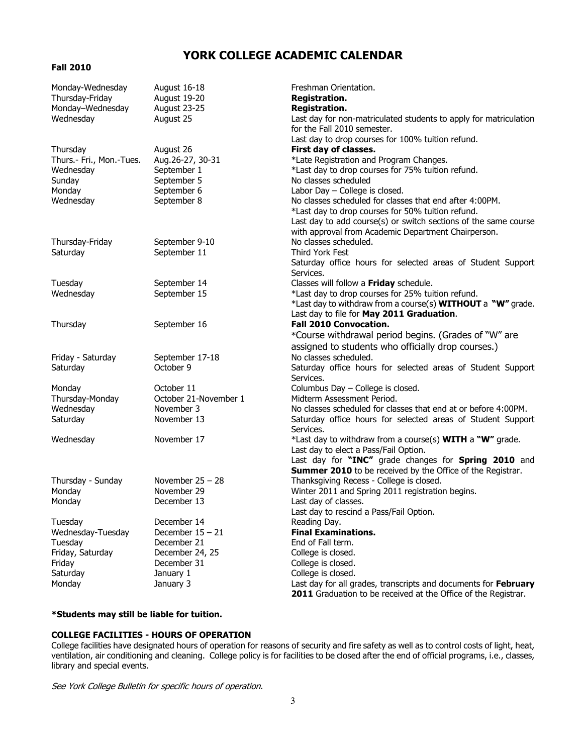# YORK COLLEGE ACADEMIC CALENDAR

#### Fall 2010

| Monday-Wednesday         | August 16-18          | Freshman Orientation.                                             |
|--------------------------|-----------------------|-------------------------------------------------------------------|
| Thursday-Friday          | August 19-20          | Registration.                                                     |
| Monday-Wednesday         | August 23-25          | Registration.                                                     |
| Wednesday                | August 25             | Last day for non-matriculated students to apply for matriculation |
|                          |                       | for the Fall 2010 semester.                                       |
|                          |                       | Last day to drop courses for 100% tuition refund.                 |
| Thursday                 | August 26             | First day of classes.                                             |
| Thurs.- Fri., Mon.-Tues. | Aug.26-27, 30-31      | *Late Registration and Program Changes.                           |
| Wednesday                | September 1           | *Last day to drop courses for 75% tuition refund.                 |
| Sunday                   | September 5           | No classes scheduled                                              |
| Monday                   | September 6           | Labor Day - College is closed.                                    |
| Wednesday                | September 8           | No classes scheduled for classes that end after 4:00PM.           |
|                          |                       | *Last day to drop courses for 50% tuition refund.                 |
|                          |                       | Last day to add course(s) or switch sections of the same course   |
|                          |                       | with approval from Academic Department Chairperson.               |
| Thursday-Friday          | September 9-10        | No classes scheduled.                                             |
| Saturday                 | September 11          | Third York Fest                                                   |
|                          |                       | Saturday office hours for selected areas of Student Support       |
|                          |                       | Services.                                                         |
| Tuesday                  | September 14          | Classes will follow a Friday schedule.                            |
| Wednesday                | September 15          | *Last day to drop courses for 25% tuition refund.                 |
|                          |                       | *Last day to withdraw from a course(s) WITHOUT a "W" grade.       |
|                          |                       | Last day to file for May 2011 Graduation.                         |
| Thursday                 | September 16          | <b>Fall 2010 Convocation.</b>                                     |
|                          |                       | *Course withdrawal period begins. (Grades of "W" are              |
|                          |                       | assigned to students who officially drop courses.)                |
| Friday - Saturday        | September 17-18       | No classes scheduled.                                             |
| Saturday                 | October 9             | Saturday office hours for selected areas of Student Support       |
|                          |                       | Services.                                                         |
| Monday                   | October 11            | Columbus Day - College is closed.                                 |
| Thursday-Monday          | October 21-November 1 | Midterm Assessment Period.                                        |
| Wednesday                | November 3            | No classes scheduled for classes that end at or before 4:00PM.    |
| Saturday                 | November 13           | Saturday office hours for selected areas of Student Support       |
|                          |                       | Services.                                                         |
| Wednesday                | November 17           | *Last day to withdraw from a course(s) WITH a "W" grade.          |
|                          |                       | Last day to elect a Pass/Fail Option.                             |
|                          |                       | Last day for "INC" grade changes for Spring 2010 and              |
|                          |                       | Summer 2010 to be received by the Office of the Registrar.        |
| Thursday - Sunday        | November $25 - 28$    | Thanksgiving Recess - College is closed.                          |
| Monday                   | November 29           | Winter 2011 and Spring 2011 registration begins.                  |
| Monday                   | December 13           | Last day of classes.                                              |
|                          |                       | Last day to rescind a Pass/Fail Option.                           |
| Tuesday                  | December 14           | Reading Day.                                                      |
| Wednesday-Tuesday        | December $15 - 21$    | <b>Final Examinations.</b>                                        |
| Tuesday                  | December 21           | End of Fall term.                                                 |
| Friday, Saturday         | December 24, 25       | College is closed.                                                |
| Friday                   | December 31           | College is closed.                                                |
| Saturday                 | January 1             | College is closed.                                                |
| Monday                   | January 3             | Last day for all grades, transcripts and documents for February   |
|                          |                       | 2011 Graduation to be received at the Office of the Registrar.    |

## \*Students may still be liable for tuition.

# COLLEGE FACILITIES - HOURS OF OPERATION

College facilities have designated hours of operation for reasons of security and fire safety as well as to control costs of light, heat, ventilation, air conditioning and cleaning. College policy is for facilities to be closed after the end of official programs, i.e., classes, library and special events.

See York College Bulletin for specific hours of operation.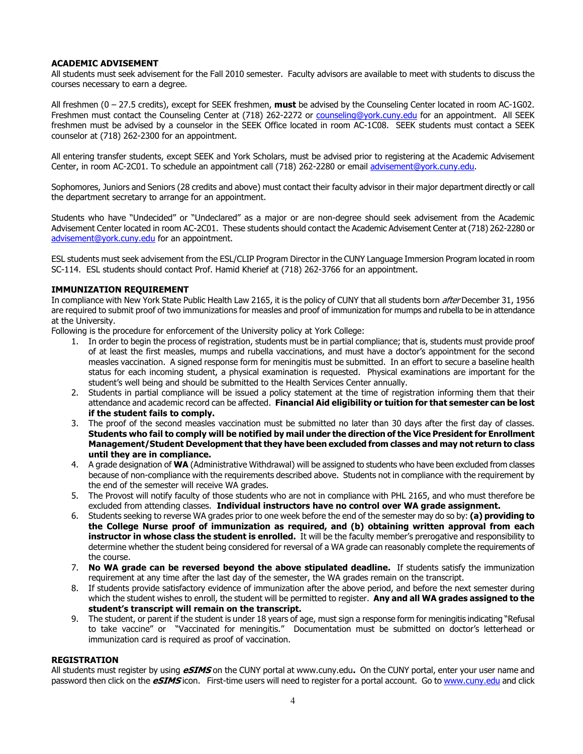## ACADEMIC ADVISEMENT

All students must seek advisement for the Fall 2010 semester. Faculty advisors are available to meet with students to discuss the courses necessary to earn a degree.

All freshmen  $(0 - 27.5 \text{ credits})$ , except for SEEK freshmen, **must** be advised by the Counseling Center located in room AC-1G02. Freshmen must contact the Counseling Center at (718) 262-2272 or counseling@york.cuny.edu for an appointment. All SEEK freshmen must be advised by a counselor in the SEEK Office located in room AC-1C08. SEEK students must contact a SEEK counselor at (718) 262-2300 for an appointment.

All entering transfer students, except SEEK and York Scholars, must be advised prior to registering at the Academic Advisement Center, in room AC-2C01. To schedule an appointment call (718) 262-2280 or email advisement@york.cuny.edu.

Sophomores, Juniors and Seniors (28 credits and above) must contact their faculty advisor in their major department directly or call the department secretary to arrange for an appointment.

Students who have "Undecided" or "Undeclared" as a major or are non-degree should seek advisement from the Academic Advisement Center located in room AC-2C01. These students should contact the Academic Advisement Center at (718) 262-2280 or advisement@york.cuny.edu for an appointment.

ESL students must seek advisement from the ESL/CLIP Program Director in the CUNY Language Immersion Program located in room SC-114. ESL students should contact Prof. Hamid Kherief at (718) 262-3766 for an appointment.

## IMMUNIZATION REQUIREMENT

In compliance with New York State Public Health Law 2165, it is the policy of CUNY that all students born *after* December 31, 1956 are required to submit proof of two immunizations for measles and proof of immunization for mumps and rubella to be in attendance at the University.

Following is the procedure for enforcement of the University policy at York College:

- 1. In order to begin the process of registration, students must be in partial compliance; that is, students must provide proof of at least the first measles, mumps and rubella vaccinations, and must have a doctor's appointment for the second measles vaccination. A signed response form for meningitis must be submitted. In an effort to secure a baseline health status for each incoming student, a physical examination is requested. Physical examinations are important for the student's well being and should be submitted to the Health Services Center annually.
- 2. Students in partial compliance will be issued a policy statement at the time of registration informing them that their attendance and academic record can be affected. Financial Aid eligibility or tuition for that semester can be lost if the student fails to comply.
- 3. The proof of the second measles vaccination must be submitted no later than 30 days after the first day of classes. Students who fail to comply will be notified by mail under the direction of the Vice President for Enrollment Management/Student Development that they have been excluded from classes and may not return to class until they are in compliance.
- 4. A grade designation of WA (Administrative Withdrawal) will be assigned to students who have been excluded from classes because of non-compliance with the requirements described above. Students not in compliance with the requirement by the end of the semester will receive WA grades.
- 5. The Provost will notify faculty of those students who are not in compliance with PHL 2165, and who must therefore be excluded from attending classes. Individual instructors have no control over WA grade assignment.
- 6. Students seeking to reverse WA grades prior to one week before the end of the semester may do so by: (a) providing to the College Nurse proof of immunization as required, and (b) obtaining written approval from each instructor in whose class the student is enrolled. It will be the faculty member's prerogative and responsibility to determine whether the student being considered for reversal of a WA grade can reasonably complete the requirements of the course.
- 7. No WA grade can be reversed beyond the above stipulated deadline. If students satisfy the immunization requirement at any time after the last day of the semester, the WA grades remain on the transcript.
- 8. If students provide satisfactory evidence of immunization after the above period, and before the next semester during which the student wishes to enroll, the student will be permitted to register. Any and all WA grades assigned to the student's transcript will remain on the transcript.
- 9. The student, or parent if the student is under 18 years of age, must sign a response form for meningitis indicating "Refusal to take vaccine" or "Vaccinated for meningitis." Documentation must be submitted on doctor's letterhead or immunization card is required as proof of vaccination.

#### REGISTRATION

All students must register by using **eSIMS** on the CUNY portal at www.cuny.edu. On the CUNY portal, enter your user name and password then click on the **eSIMS** icon. First-time users will need to register for a portal account. Go to www.cuny.edu and click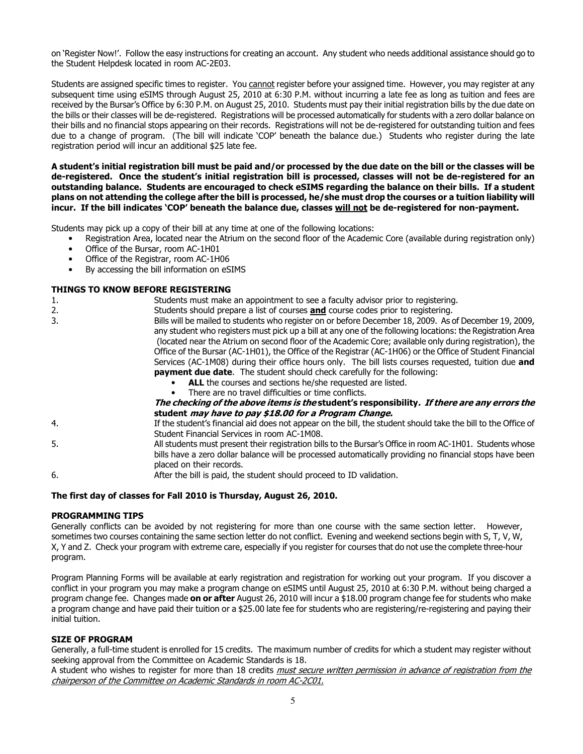on 'Register Now!'. Follow the easy instructions for creating an account. Any student who needs additional assistance should go to the Student Helpdesk located in room AC-2E03.

Students are assigned specific times to register. You cannot register before your assigned time. However, you may register at any subsequent time using eSIMS through August 25, 2010 at 6:30 P.M. without incurring a late fee as long as tuition and fees are received by the Bursar's Office by 6:30 P.M. on August 25, 2010. Students must pay their initial registration bills by the due date on the bills or their classes will be de-registered. Registrations will be processed automatically for students with a zero dollar balance on their bills and no financial stops appearing on their records. Registrations will not be de-registered for outstanding tuition and fees due to a change of program. (The bill will indicate 'COP' beneath the balance due.) Students who register during the late registration period will incur an additional \$25 late fee.

A student's initial registration bill must be paid and/or processed by the due date on the bill or the classes will be de-registered. Once the student's initial registration bill is processed, classes will not be de-registered for an outstanding balance. Students are encouraged to check eSIMS regarding the balance on their bills. If a student plans on not attending the college after the bill is processed, he/she must drop the courses or a tuition liability will incur. If the bill indicates 'COP' beneath the balance due, classes will not be de-registered for non-payment.

Students may pick up a copy of their bill at any time at one of the following locations:

- Registration Area, located near the Atrium on the second floor of the Academic Core (available during registration only)
- Office of the Bursar, room AC-1H01
- Office of the Registrar, room AC-1H06
- By accessing the bill information on eSIMS

## THINGS TO KNOW BEFORE REGISTERING

| 1.<br>2. | Students must make an appointment to see a faculty advisor prior to registering.<br>Students should prepare a list of courses and course codes prior to registering.                                                |
|----------|---------------------------------------------------------------------------------------------------------------------------------------------------------------------------------------------------------------------|
| 3.       | Bills will be mailed to students who register on or before December 18, 2009. As of December 19, 2009,                                                                                                              |
|          | any student who registers must pick up a bill at any one of the following locations: the Registration Area                                                                                                          |
|          | (located near the Atrium on second floor of the Academic Core; available only during registration), the<br>Office of the Bursar (AC-1H01), the Office of the Registrar (AC-1H06) or the Office of Student Financial |
|          | Services (AC-1M08) during their office hours only. The bill lists courses requested, tuition due and                                                                                                                |
|          | <b>payment due date</b> . The student should check carefully for the following:                                                                                                                                     |
|          | <b>ALL</b> the courses and sections he/she requested are listed.                                                                                                                                                    |
|          | There are no travel difficulties or time conflicts.                                                                                                                                                                 |
|          | The checking of the above items is the student's responsibility. If there are any errors the                                                                                                                        |
|          | student may have to pay \$18.00 for a Program Change.                                                                                                                                                               |
| 4.       | If the student's financial aid does not appear on the bill, the student should take the bill to the Office of                                                                                                       |
|          | Student Financial Services in room AC-1M08.                                                                                                                                                                         |
| 5.       | All students must present their registration bills to the Bursar's Office in room AC-1H01. Students whose                                                                                                           |
|          | bills have a zero dollar balance will be processed automatically providing no financial stops have been<br>placed on their records.                                                                                 |
| 6.       | After the bill is paid, the student should proceed to ID validation.                                                                                                                                                |

## The first day of classes for Fall 2010 is Thursday, August 26, 2010.

## PROGRAMMING TIPS

Generally conflicts can be avoided by not registering for more than one course with the same section letter. However, sometimes two courses containing the same section letter do not conflict. Evening and weekend sections begin with S, T, V, W, X, Y and Z. Check your program with extreme care, especially if you register for courses that do not use the complete three-hour program.

Program Planning Forms will be available at early registration and registration for working out your program. If you discover a conflict in your program you may make a program change on eSIMS until August 25, 2010 at 6:30 P.M. without being charged a program change fee. Changes made on or after August 26, 2010 will incur a \$18.00 program change fee for students who make a program change and have paid their tuition or a \$25.00 late fee for students who are registering/re-registering and paying their initial tuition.

#### SIZE OF PROGRAM

Generally, a full-time student is enrolled for 15 credits. The maximum number of credits for which a student may register without seeking approval from the Committee on Academic Standards is 18.

A student who wishes to register for more than 18 credits must secure written permission in advance of registration from the chairperson of the Committee on Academic Standards in room AC-2C01.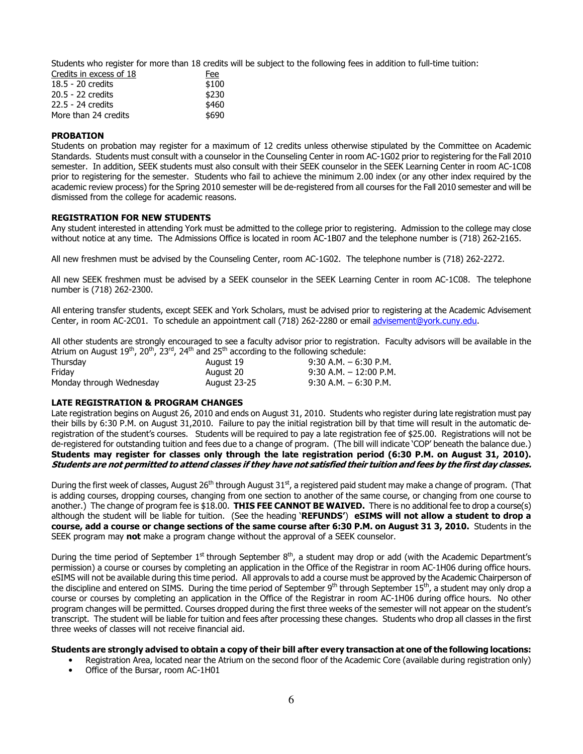Students who register for more than 18 credits will be subject to the following fees in addition to full-time tuition:

| Credits in excess of 18 | Fee   |
|-------------------------|-------|
| 18.5 - 20 credits       | \$100 |
| 20.5 - 22 credits       | \$230 |
| 22.5 - 24 credits       | \$460 |
| More than 24 credits    | \$690 |

#### PROBATION

Students on probation may register for a maximum of 12 credits unless otherwise stipulated by the Committee on Academic Standards. Students must consult with a counselor in the Counseling Center in room AC-1G02 prior to registering for the Fall 2010 semester. In addition, SEEK students must also consult with their SEEK counselor in the SEEK Learning Center in room AC-1C08 prior to registering for the semester. Students who fail to achieve the minimum 2.00 index (or any other index required by the academic review process) for the Spring 2010 semester will be de-registered from all courses for the Fall 2010 semester and will be dismissed from the college for academic reasons.

#### REGISTRATION FOR NEW STUDENTS

Any student interested in attending York must be admitted to the college prior to registering. Admission to the college may close without notice at any time. The Admissions Office is located in room AC-1B07 and the telephone number is (718) 262-2165.

All new freshmen must be advised by the Counseling Center, room AC-1G02. The telephone number is (718) 262-2272.

All new SEEK freshmen must be advised by a SEEK counselor in the SEEK Learning Center in room AC-1C08. The telephone number is (718) 262-2300.

All entering transfer students, except SEEK and York Scholars, must be advised prior to registering at the Academic Advisement Center, in room AC-2C01. To schedule an appointment call (718) 262-2280 or email advisement@york.cuny.edu.

All other students are strongly encouraged to see a faculty advisor prior to registration. Faculty advisors will be available in the Atrium on August  $19^{th}$ ,  $20^{th}$ ,  $23^{rd}$ ,  $24^{th}$  and  $25^{th}$  according to the following schedule:

| Thursday                 | August 19    | $9:30$ A.M. $-6:30$ P.M. |
|--------------------------|--------------|--------------------------|
| Fridav                   | August 20    | 9:30 A.M. - 12:00 P.M.   |
| Monday through Wednesday | August 23-25 | $9:30$ A.M. $-6:30$ P.M. |

## LATE REGISTRATION & PROGRAM CHANGES

Late registration begins on August 26, 2010 and ends on August 31, 2010. Students who register during late registration must pay their bills by 6:30 P.M. on August 31,2010. Failure to pay the initial registration bill by that time will result in the automatic deregistration of the student's courses. Students will be required to pay a late registration fee of \$25.00. Registrations will not be de-registered for outstanding tuition and fees due to a change of program. (The bill will indicate 'COP' beneath the balance due.) Students may register for classes only through the late registration period (6:30 P.M. on August 31, 2010). Students are not permitted to attend classes if they have not satisfied their tuition and fees by the first day classes.

During the first week of classes, August 26<sup>th</sup> through August  $31^{st}$ , a registered paid student may make a change of program. (That is adding courses, dropping courses, changing from one section to another of the same course, or changing from one course to another.) The change of program fee is \$18.00. THIS FEE CANNOT BE WAIVED. There is no additional fee to drop a course(s) although the student will be liable for tuition. (See the heading 'REFUNDS') eSIMS will not allow a student to drop a course, add a course or change sections of the same course after 6:30 P.M. on August 31 3, 2010. Students in the SEEK program may **not** make a program change without the approval of a SEEK counselor.

During the time period of September 1<sup>st</sup> through September  $8<sup>th</sup>$ , a student may drop or add (with the Academic Department's permission) a course or courses by completing an application in the Office of the Registrar in room AC-1H06 during office hours. eSIMS will not be available during this time period. All approvals to add a course must be approved by the Academic Chairperson of the discipline and entered on SIMS. During the time period of September  $9^{th}$  through September  $15^{th}$ , a student may only drop a course or courses by completing an application in the Office of the Registrar in room AC-1H06 during office hours. No other program changes will be permitted. Courses dropped during the first three weeks of the semester will not appear on the student's transcript. The student will be liable for tuition and fees after processing these changes. Students who drop all classes in the first three weeks of classes will not receive financial aid.

#### Students are strongly advised to obtain a copy of their bill after every transaction at one of the following locations:

- Registration Area, located near the Atrium on the second floor of the Academic Core (available during registration only)
- Office of the Bursar, room AC-1H01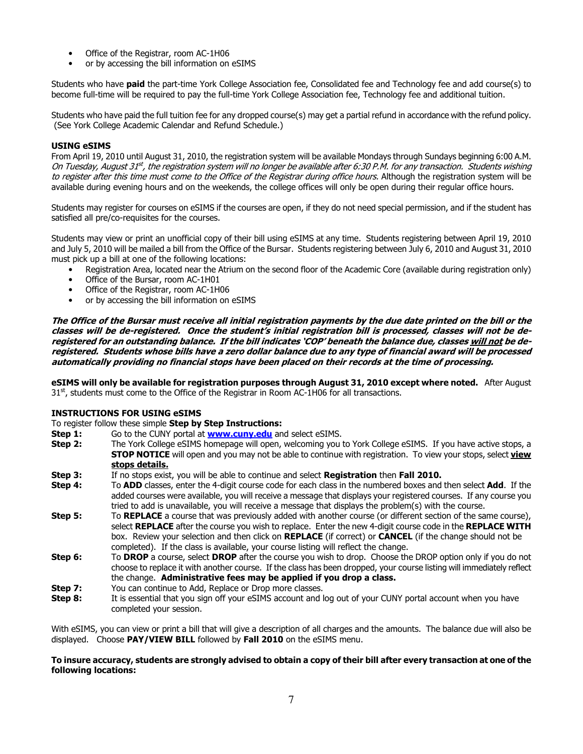- Office of the Registrar, room AC-1H06
- or by accessing the bill information on eSIMS

Students who have paid the part-time York College Association fee, Consolidated fee and Technology fee and add course(s) to become full-time will be required to pay the full-time York College Association fee, Technology fee and additional tuition.

Students who have paid the full tuition fee for any dropped course(s) may get a partial refund in accordance with the refund policy. (See York College Academic Calendar and Refund Schedule.)

## USING eSIMS

From April 19, 2010 until August 31, 2010, the registration system will be available Mondays through Sundays beginning 6:00 A.M. On Tuesday, August 31st, the registration system will no longer be available after 6:30 P.M. for any transaction. Students wishing to register after this time must come to the Office of the Registrar during office hours. Although the registration system will be available during evening hours and on the weekends, the college offices will only be open during their regular office hours.

Students may register for courses on eSIMS if the courses are open, if they do not need special permission, and if the student has satisfied all pre/co-requisites for the courses.

Students may view or print an unofficial copy of their bill using eSIMS at any time. Students registering between April 19, 2010 and July 5, 2010 will be mailed a bill from the Office of the Bursar. Students registering between July 6, 2010 and August 31, 2010 must pick up a bill at one of the following locations:

- Registration Area, located near the Atrium on the second floor of the Academic Core (available during registration only)
- Office of the Bursar, room AC-1H01
- Office of the Registrar, room AC-1H06
- or by accessing the bill information on eSIMS

The Office of the Bursar must receive all initial registration payments by the due date printed on the bill or the classes will be de-registered. Once the student's initial registration bill is processed, classes will not be deregistered for an outstanding balance. If the bill indicates 'COP' beneath the balance due, classes will not be deregistered. Students whose bills have a zero dollar balance due to any type of financial award will be processed automatically providing no financial stops have been placed on their records at the time of processing.

eSIMS will only be available for registration purposes through August 31, 2010 except where noted. After August  $31<sup>st</sup>$ , students must come to the Office of the Registrar in Room AC-1H06 for all transactions.

#### INSTRUCTIONS FOR USING eSIMS

To register follow these simple Step by Step Instructions:

- Step 1: Go to the CUNY portal at **www.cuny.edu** and select eSIMS.
- Step 2: The York College eSIMS homepage will open, welcoming you to York College eSIMS. If you have active stops, a **STOP NOTICE** will open and you may not be able to continue with registration. To view your stops, select **yiew** stops details.
- Step 3: If no stops exist, you will be able to continue and select Registration then Fall 2010.
- Step 4: To ADD classes, enter the 4-digit course code for each class in the numbered boxes and then select Add. If the added courses were available, you will receive a message that displays your registered courses. If any course you tried to add is unavailable, you will receive a message that displays the problem(s) with the course.
- Step 5: To REPLACE a course that was previously added with another course (or different section of the same course), select REPLACE after the course you wish to replace. Enter the new 4-digit course code in the REPLACE WITH box. Review your selection and then click on **REPLACE** (if correct) or **CANCEL** (if the change should not be completed). If the class is available, your course listing will reflect the change.
- Step 6: To DROP a course, select DROP after the course you wish to drop. Choose the DROP option only if you do not choose to replace it with another course. If the class has been dropped, your course listing will immediately reflect the change. Administrative fees may be applied if you drop a class.
- **Step 7:** You can continue to Add, Replace or Drop more classes.
- Step 8: It is essential that you sign off your eSIMS account and log out of your CUNY portal account when you have completed your session.

With eSIMS, you can view or print a bill that will give a description of all charges and the amounts. The balance due will also be displayed. Choose PAY/VIEW BILL followed by Fall 2010 on the eSIMS menu.

#### To insure accuracy, students are strongly advised to obtain a copy of their bill after every transaction at one of the following locations: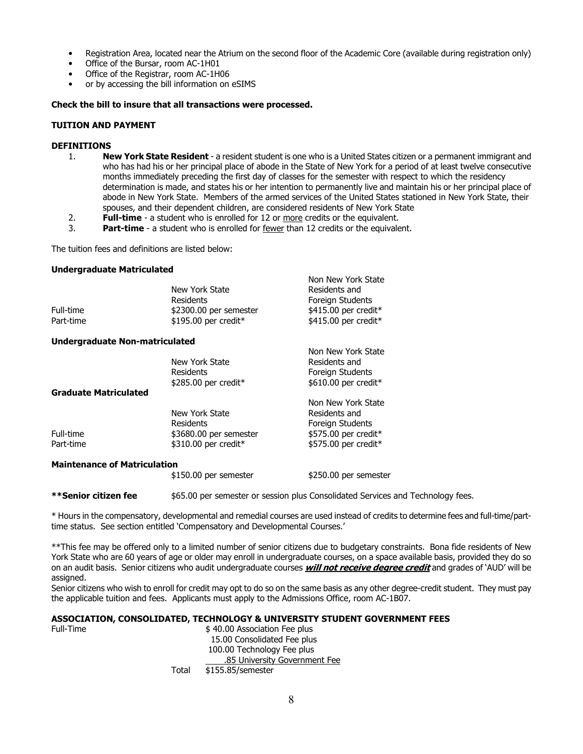- Registration Area, located near the Atrium on the second floor of the Academic Core (available during registration only)
- Office of the Bursar, room AC-1H01
- Office of the Registrar, room AC-1H06
- or by accessing the bill information on eSIMS

#### Check the bill to insure that all transactions were processed.

#### TUITION AND PAYMENT

#### DEFINITIONS

- 1. New York State Resident a resident student is one who is a United States citizen or a permanent immigrant and who has had his or her principal place of abode in the State of New York for a period of at least twelve consecutive months immediately preceding the first day of classes for the semester with respect to which the residency determination is made, and states his or her intention to permanently live and maintain his or her principal place of abode in New York State. Members of the armed services of the United States stationed in New York State, their spouses, and their dependent children, are considered residents of New York State
- 2. **Full-time** a student who is enrolled for 12 or more credits or the equivalent.
- 3. **Part-time** a student who is enrolled for fewer than 12 credits or the equivalent.

The tuition fees and definitions are listed below:

#### Undergraduate Matriculated

| Full-time<br>Part-time                | New York State<br><b>Residents</b><br>\$2300.00 per semester<br>\$195.00 per credit* | Non New York State<br>Residents and<br>Foreign Students<br>\$415.00 per credit*<br>\$415.00 per credit* |
|---------------------------------------|--------------------------------------------------------------------------------------|---------------------------------------------------------------------------------------------------------|
| <b>Undergraduate Non-matriculated</b> |                                                                                      |                                                                                                         |
| Graduate Matriculated                 | New York State<br>Residents<br>$$285.00$ per credit <sup>*</sup>                     | Non New York State<br>Residents and<br>Foreign Students<br>$$610.00$ per credit <sup>*</sup>            |
| Full-time<br>Part-time                | New York State<br>Residents<br>\$3680.00 per semester<br>\$310.00 per credit*        | Non New York State<br>Residents and<br>Foreign Students<br>\$575.00 per credit*<br>\$575.00 per credit* |
| <b>Maintenance of Matriculation</b>   | \$150.00 per semester                                                                | \$250.00 per semester                                                                                   |
|                                       |                                                                                      |                                                                                                         |

\*\* Senior citizen fee  $$65.00$  per semester or session plus Consolidated Services and Technology fees.

\* Hours in the compensatory, developmental and remedial courses are used instead of credits to determine fees and full-time/parttime status. See section entitled 'Compensatory and Developmental Courses.'

\*\*This fee may be offered only to a limited number of senior citizens due to budgetary constraints. Bona fide residents of New York State who are 60 years of age or older may enroll in undergraduate courses, on a space available basis, provided they do so on an audit basis. Senior citizens who audit undergraduate courses will not receive degree credit and grades of `AUD' will be assigned.

Senior citizens who wish to enroll for credit may opt to do so on the same basis as any other degree-credit student. They must pay the applicable tuition and fees. Applicants must apply to the Admissions Office, room AC-1B07.

#### ASSOCIATION, CONSOLIDATED, TECHNOLOGY & UNIVERSITY STUDENT GOVERNMENT FEES

| Full-Time | \$40.00 Association Fee plus |
|-----------|------------------------------|
|           | 15.00 Consolidated Fee plus  |
|           | 100.00 Technology Fee plus   |
|           | 85 University Covernmer      |

- .85 University Government Fee
- Total \$155.85/semester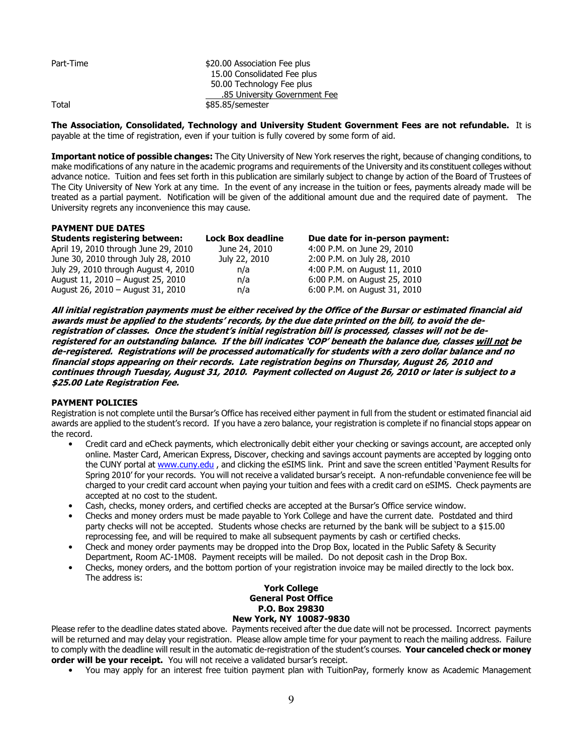| Part-Time | \$20.00 Association Fee plus |
|-----------|------------------------------|
|           | 15.00 Consolidated Fee plus  |
|           | 50.00 Technology Fee plus    |
|           | 85 University Government Fee |
| Total     | \$85.85/semester             |
|           |                              |

The Association, Consolidated, Technology and University Student Government Fees are not refundable. It is payable at the time of registration, even if your tuition is fully covered by some form of aid.

Important notice of possible changes: The City University of New York reserves the right, because of changing conditions, to make modifications of any nature in the academic programs and requirements of the University and its constituent colleges without advance notice. Tuition and fees set forth in this publication are similarly subject to change by action of the Board of Trustees of The City University of New York at any time. In the event of any increase in the tuition or fees, payments already made will be treated as a partial payment. Notification will be given of the additional amount due and the required date of payment. The University regrets any inconvenience this may cause.

## PAYMENT DUE DATES

| <b>Students registering between:</b> | <b>Lock Box deadline</b> | Due date for in-person payment: |
|--------------------------------------|--------------------------|---------------------------------|
| April 19, 2010 through June 29, 2010 | June 24, 2010            | 4:00 P.M. on June 29, 2010      |
| June 30, 2010 through July 28, 2010  | July 22, 2010            | 2:00 P.M. on July 28, 2010      |
| July 29, 2010 through August 4, 2010 | n/a                      | 4:00 P.M. on August 11, 2010    |
| August 11, 2010 – August 25, 2010    | n/a                      | 6:00 P.M. on August 25, 2010    |
| August 26, 2010 - August 31, 2010    | n/a                      | 6:00 P.M. on August 31, 2010    |

All initial registration payments must be either received by the Office of the Bursar or estimated financial aid awards must be applied to the students' records, by the due date printed on the bill, to avoid the deregistration of classes. Once the student's initial registration bill is processed, classes will not be deregistered for an outstanding balance. If the bill indicates 'COP' beneath the balance due, classes will not be de-registered. Registrations will be processed automatically for students with a zero dollar balance and no financial stops appearing on their records. Late registration begins on Thursday, August 26, 2010 and continues through Tuesday, August 31, 2010. Payment collected on August 26, 2010 or later is subject to a \$25.00 Late Registration Fee.

#### PAYMENT POLICIES

Registration is not complete until the Bursar's Office has received either payment in full from the student or estimated financial aid awards are applied to the student's record. If you have a zero balance, your registration is complete if no financial stops appear on the record.

- Credit card and eCheck payments, which electronically debit either your checking or savings account, are accepted only online. Master Card, American Express, Discover, checking and savings account payments are accepted by logging onto the CUNY portal at www.cuny.edu, and clicking the eSIMS link. Print and save the screen entitled 'Payment Results for Spring 2010' for your records. You will not receive a validated bursar's receipt. A non-refundable convenience fee will be charged to your credit card account when paying your tuition and fees with a credit card on eSIMS. Check payments are accepted at no cost to the student.
- Cash, checks, money orders, and certified checks are accepted at the Bursar's Office service window.
- Checks and money orders must be made payable to York College and have the current date. Postdated and third party checks will not be accepted. Students whose checks are returned by the bank will be subject to a \$15.00 reprocessing fee, and will be required to make all subsequent payments by cash or certified checks.
- Check and money order payments may be dropped into the Drop Box, located in the Public Safety & Security Department, Room AC-1M08. Payment receipts will be mailed. Do not deposit cash in the Drop Box.
- Checks, money orders, and the bottom portion of your registration invoice may be mailed directly to the lock box. The address is:

#### York College General Post Office P.O. Box 29830 New York, NY 10087-9830

Please refer to the deadline dates stated above. Payments received after the due date will not be processed. Incorrect payments will be returned and may delay your registration. Please allow ample time for your payment to reach the mailing address. Failure to comply with the deadline will result in the automatic de-registration of the student's courses. Your canceled check or money order will be your receipt. You will not receive a validated bursar's receipt.

• You may apply for an interest free tuition payment plan with TuitionPay, formerly know as Academic Management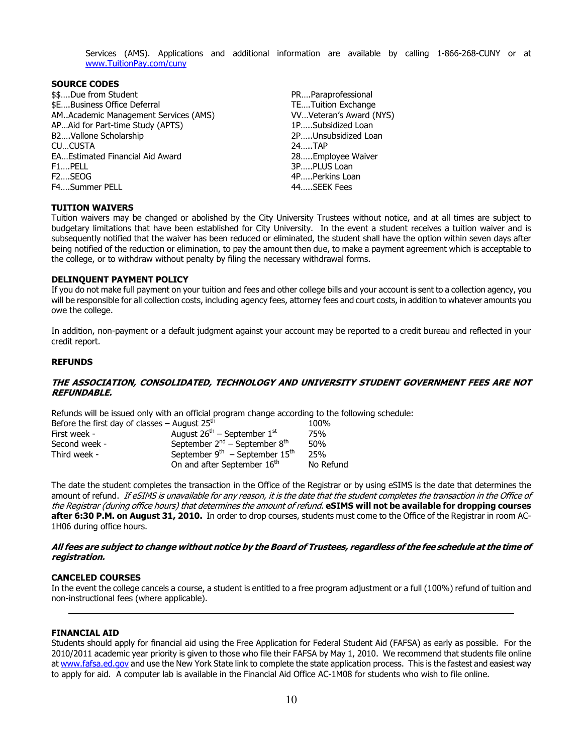Services (AMS). Applications and additional information are available by calling 1-866-268-CUNY or at www.TuitionPay.com/cuny

## SOURCE CODES

\$\$….Due from Student \$E….Business Office Deferral AM..Academic Management Services (AMS) AP…Aid for Part-time Study (APTS) B2….Vallone Scholarship CU…CUSTA EA…Estimated Financial Aid Award F1….PELL F2….SEOG F4….Summer PELL

## TUITION WAIVERS

PR….Paraprofessional TE….Tuition Exchange VV…Veteran's Award (NYS) 1P…..Subsidized Loan 2P…..Unsubsidized Loan 24…..TAP 28…..Employee Waiver 3P…..PLUS Loan 4P…..Perkins Loan 44…..SEEK Fees

Tuition waivers may be changed or abolished by the City University Trustees without notice, and at all times are subject to budgetary limitations that have been established for City University. In the event a student receives a tuition waiver and is subsequently notified that the waiver has been reduced or eliminated, the student shall have the option within seven days after being notified of the reduction or elimination, to pay the amount then due, to make a payment agreement which is acceptable to the college, or to withdraw without penalty by filing the necessary withdrawal forms.

#### DELINQUENT PAYMENT POLICY

If you do not make full payment on your tuition and fees and other college bills and your account is sent to a collection agency, you will be responsible for all collection costs, including agency fees, attorney fees and court costs, in addition to whatever amounts you owe the college.

In addition, non-payment or a default judgment against your account may be reported to a credit bureau and reflected in your credit report.

#### REFUNDS

#### THE ASSOCIATION, CONSOLIDATED, TECHNOLOGY AND UNIVERSITY STUDENT GOVERNMENT FEES ARE NOT REFUNDABLE.

Refunds will be issued only with an official program change according to the following schedule:

| Before the first day of classes $-$ August 25 <sup>th</sup> |                                          | 100%      |
|-------------------------------------------------------------|------------------------------------------|-----------|
| First week -                                                | August $26^{th}$ – September $1^{st}$    | 75%       |
| Second week -                                               | September $2^{nd}$ – September $8^{th}$  | 50%       |
| Third week -                                                | September $9^{th}$ – September $15^{th}$ | 25%       |
|                                                             | On and after September 16 <sup>th</sup>  | No Refund |

The date the student completes the transaction in the Office of the Registrar or by using eSIMS is the date that determines the amount of refund. If eSIMS is unavailable for any reason, it is the date that the student completes the transaction in the Office of the Registrar (during office hours) that determines the amount of refund. eSIMS will not be available for dropping courses after 6:30 P.M. on August 31, 2010. In order to drop courses, students must come to the Office of the Registrar in room AC-1H06 during office hours.

#### All fees are subject to change without notice by the Board of Trustees, regardless of the fee schedule at the time of registration.

#### CANCELED COURSES

In the event the college cancels a course, a student is entitled to a free program adjustment or a full (100%) refund of tuition and non-instructional fees (where applicable).

## FINANCIAL AID

Students should apply for financial aid using the Free Application for Federal Student Aid (FAFSA) as early as possible. For the 2010/2011 academic year priority is given to those who file their FAFSA by May 1, 2010. We recommend that students file online at www.fafsa.ed.gov and use the New York State link to complete the state application process. This is the fastest and easiest way to apply for aid. A computer lab is available in the Financial Aid Office AC-1M08 for students who wish to file online.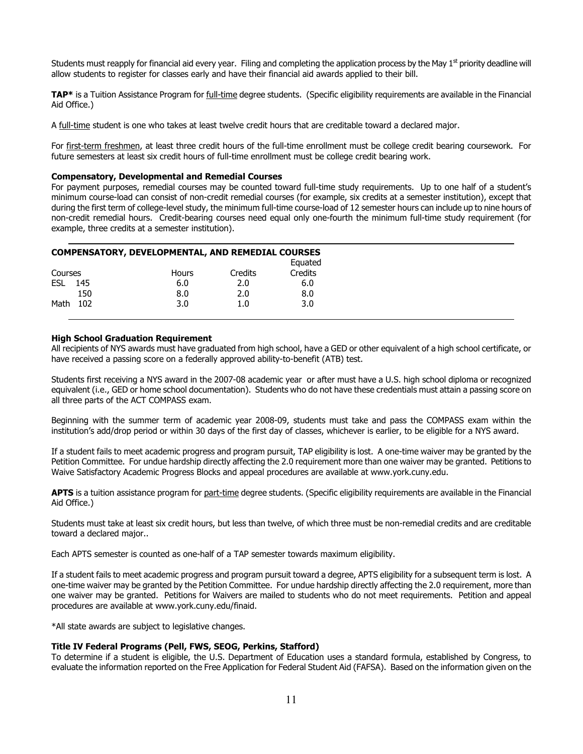Students must reapply for financial aid every year. Filing and completing the application process by the May  $1<sup>st</sup>$  priority deadline will allow students to register for classes early and have their financial aid awards applied to their bill.

TAP\* is a Tuition Assistance Program for full-time degree students. (Specific eligibility requirements are available in the Financial Aid Office.)

A full-time student is one who takes at least twelve credit hours that are creditable toward a declared major.

For first-term freshmen, at least three credit hours of the full-time enrollment must be college credit bearing coursework. For future semesters at least six credit hours of full-time enrollment must be college credit bearing work.

#### Compensatory, Developmental and Remedial Courses

For payment purposes, remedial courses may be counted toward full-time study requirements. Up to one half of a student's minimum course-load can consist of non-credit remedial courses (for example, six credits at a semester institution), except that during the first term of college-level study, the minimum full-time course-load of 12 semester hours can include up to nine hours of non-credit remedial hours. Credit-bearing courses need equal only one-fourth the minimum full-time study requirement (for example, three credits at a semester institution).

|            | <b>COMPENSATORY, DEVELOPMENTAL, AND REMEDIAL COURSES</b> |              |         |         |
|------------|----------------------------------------------------------|--------------|---------|---------|
|            |                                                          |              |         | Equated |
| Courses    |                                                          | <b>Hours</b> | Credits | Credits |
| <b>FSL</b> | 145                                                      | 6.0          | 2.0     | 6.0     |
|            | 150                                                      | 8.0          | 2.0     | 8.0     |
| Math       | 102                                                      | 3.0          | 1.0     | 3.0     |

#### High School Graduation Requirement

All recipients of NYS awards must have graduated from high school, have a GED or other equivalent of a high school certificate, or have received a passing score on a federally approved ability-to-benefit (ATB) test.

Students first receiving a NYS award in the 2007-08 academic year or after must have a U.S. high school diploma or recognized equivalent (i.e., GED or home school documentation). Students who do not have these credentials must attain a passing score on all three parts of the ACT COMPASS exam.

Beginning with the summer term of academic year 2008-09, students must take and pass the COMPASS exam within the institution's add/drop period or within 30 days of the first day of classes, whichever is earlier, to be eligible for a NYS award.

If a student fails to meet academic progress and program pursuit, TAP eligibility is lost. A one-time waiver may be granted by the Petition Committee. For undue hardship directly affecting the 2.0 requirement more than one waiver may be granted. Petitions to Waive Satisfactory Academic Progress Blocks and appeal procedures are available at www.york.cuny.edu.

APTS is a tuition assistance program for part-time degree students. (Specific eligibility requirements are available in the Financial Aid Office.)

Students must take at least six credit hours, but less than twelve, of which three must be non-remedial credits and are creditable toward a declared major..

Each APTS semester is counted as one-half of a TAP semester towards maximum eligibility.

If a student fails to meet academic progress and program pursuit toward a degree, APTS eligibility for a subsequent term is lost. A one-time waiver may be granted by the Petition Committee. For undue hardship directly affecting the 2.0 requirement, more than one waiver may be granted. Petitions for Waivers are mailed to students who do not meet requirements. Petition and appeal procedures are available at www.york.cuny.edu/finaid.

\*All state awards are subject to legislative changes.

#### Title IV Federal Programs (Pell, FWS, SEOG, Perkins, Stafford)

To determine if a student is eligible, the U.S. Department of Education uses a standard formula, established by Congress, to evaluate the information reported on the Free Application for Federal Student Aid (FAFSA). Based on the information given on the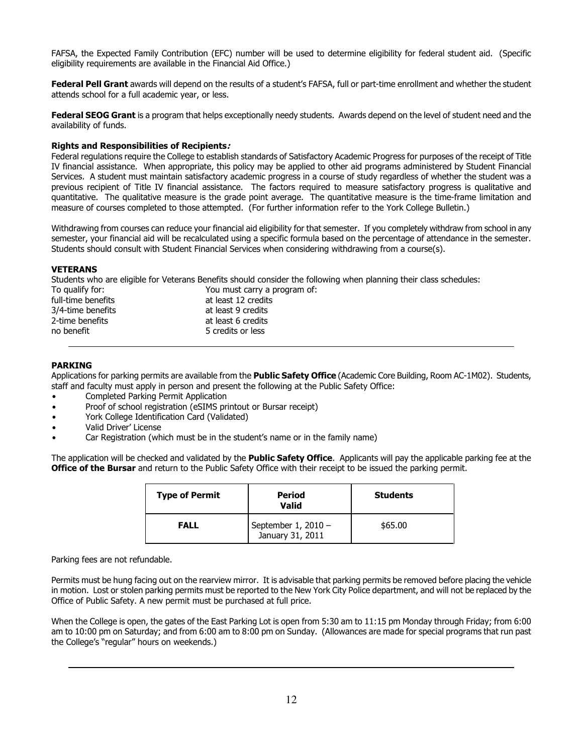FAFSA, the Expected Family Contribution (EFC) number will be used to determine eligibility for federal student aid. (Specific eligibility requirements are available in the Financial Aid Office.)

Federal Pell Grant awards will depend on the results of a student's FAFSA, full or part-time enrollment and whether the student attends school for a full academic year, or less.

Federal SEOG Grant is a program that helps exceptionally needy students. Awards depend on the level of student need and the availability of funds.

#### Rights and Responsibilities of Recipients:

Federal regulations require the College to establish standards of Satisfactory Academic Progress for purposes of the receipt of Title IV financial assistance. When appropriate, this policy may be applied to other aid programs administered by Student Financial Services. A student must maintain satisfactory academic progress in a course of study regardless of whether the student was a previous recipient of Title IV financial assistance. The factors required to measure satisfactory progress is qualitative and quantitative. The qualitative measure is the grade point average. The quantitative measure is the time-frame limitation and measure of courses completed to those attempted. (For further information refer to the York College Bulletin.)

Withdrawing from courses can reduce your financial aid eligibility for that semester. If you completely withdraw from school in any semester, your financial aid will be recalculated using a specific formula based on the percentage of attendance in the semester. Students should consult with Student Financial Services when considering withdrawing from a course(s).

## VETERANS

Students who are eligible for Veterans Benefits should consider the following when planning their class schedules:

| To qualify for:    | You must carry a program of: |
|--------------------|------------------------------|
| full-time benefits | at least 12 credits          |
| 3/4-time benefits  | at least 9 credits           |
| 2-time benefits    | at least 6 credits           |
| no benefit         | 5 credits or less            |

## PARKING

Applications for parking permits are available from the Public Safety Office (Academic Core Building, Room AC-1M02). Students, staff and faculty must apply in person and present the following at the Public Safety Office:

- Completed Parking Permit Application
- Proof of school registration (eSIMS printout or Bursar receipt)
- York College Identification Card (Validated)
- Valid Driver' License
- Car Registration (which must be in the student's name or in the family name)

The application will be checked and validated by the **Public Safety Office.** Applicants will pay the applicable parking fee at the **Office of the Bursar** and return to the Public Safety Office with their receipt to be issued the parking permit.

| <b>Type of Permit</b> | <b>Period</b><br><b>Valid</b>           | <b>Students</b> |
|-----------------------|-----------------------------------------|-----------------|
| <b>FALL</b>           | September 1, 2010 -<br>January 31, 2011 | \$65.00         |

Parking fees are not refundable.

Permits must be hung facing out on the rearview mirror. It is advisable that parking permits be removed before placing the vehicle in motion. Lost or stolen parking permits must be reported to the New York City Police department, and will not be replaced by the Office of Public Safety. A new permit must be purchased at full price.

When the College is open, the gates of the East Parking Lot is open from 5:30 am to 11:15 pm Monday through Friday; from 6:00 am to 10:00 pm on Saturday; and from 6:00 am to 8:00 pm on Sunday. (Allowances are made for special programs that run past the College's "regular" hours on weekends.)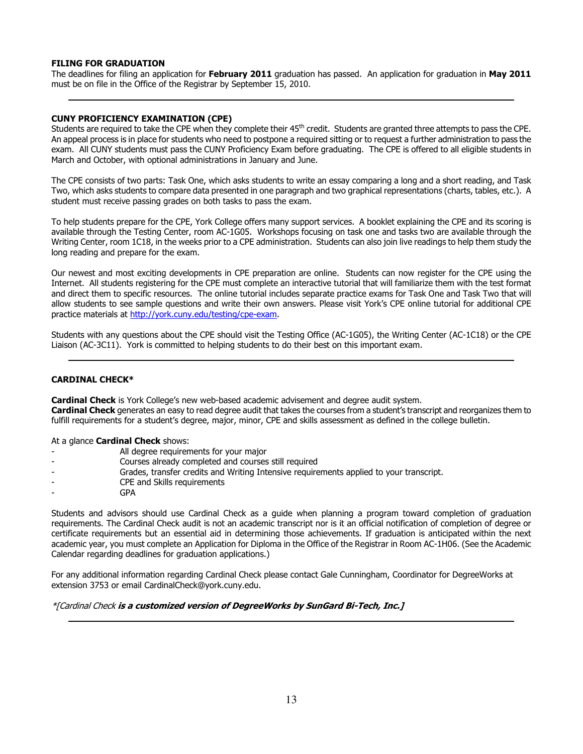## FILING FOR GRADUATION

The deadlines for filing an application for February 2011 graduation has passed. An application for graduation in May 2011 must be on file in the Office of the Registrar by September 15, 2010.

#### CUNY PROFICIENCY EXAMINATION (CPE)

Students are required to take the CPE when they complete their 45<sup>th</sup> credit. Students are granted three attempts to pass the CPE. An appeal process is in place for students who need to postpone a required sitting or to request a further administration to pass the exam. All CUNY students must pass the CUNY Proficiency Exam before graduating. The CPE is offered to all eligible students in March and October, with optional administrations in January and June.

The CPE consists of two parts: Task One, which asks students to write an essay comparing a long and a short reading, and Task Two, which asks students to compare data presented in one paragraph and two graphical representations (charts, tables, etc.). A student must receive passing grades on both tasks to pass the exam.

To help students prepare for the CPE, York College offers many support services. A booklet explaining the CPE and its scoring is available through the Testing Center, room AC-1G05. Workshops focusing on task one and tasks two are available through the Writing Center, room 1C18, in the weeks prior to a CPE administration. Students can also join live readings to help them study the long reading and prepare for the exam.

Our newest and most exciting developments in CPE preparation are online. Students can now register for the CPE using the Internet. All students registering for the CPE must complete an interactive tutorial that will familiarize them with the test format and direct them to specific resources. The online tutorial includes separate practice exams for Task One and Task Two that will allow students to see sample questions and write their own answers. Please visit York's CPE online tutorial for additional CPE practice materials at http://york.cuny.edu/testing/cpe-exam.

Students with any questions about the CPE should visit the Testing Office (AC-1G05), the Writing Center (AC-1C18) or the CPE Liaison (AC-3C11). York is committed to helping students to do their best on this important exam.

## CARDINAL CHECK\*

Cardinal Check is York College's new web-based academic advisement and degree audit system.

Cardinal Check generates an easy to read degree audit that takes the courses from a student's transcript and reorganizes them to fulfill requirements for a student's degree, major, minor, CPE and skills assessment as defined in the college bulletin.

At a glance **Cardinal Check** shows:

- All degree requirements for your major
- Courses already completed and courses still required
- Grades, transfer credits and Writing Intensive requirements applied to your transcript.
- CPE and Skills requirements
- GPA

Students and advisors should use Cardinal Check as a guide when planning a program toward completion of graduation requirements. The Cardinal Check audit is not an academic transcript nor is it an official notification of completion of degree or certificate requirements but an essential aid in determining those achievements. If graduation is anticipated within the next academic year, you must complete an Application for Diploma in the Office of the Registrar in Room AC-1H06. (See the Academic Calendar regarding deadlines for graduation applications.)

For any additional information regarding Cardinal Check please contact Gale Cunningham, Coordinator for DegreeWorks at extension 3753 or email CardinalCheck@york.cuny.edu.

#### \*[Cardinal Check is a customized version of DegreeWorks by SunGard Bi-Tech, Inc.]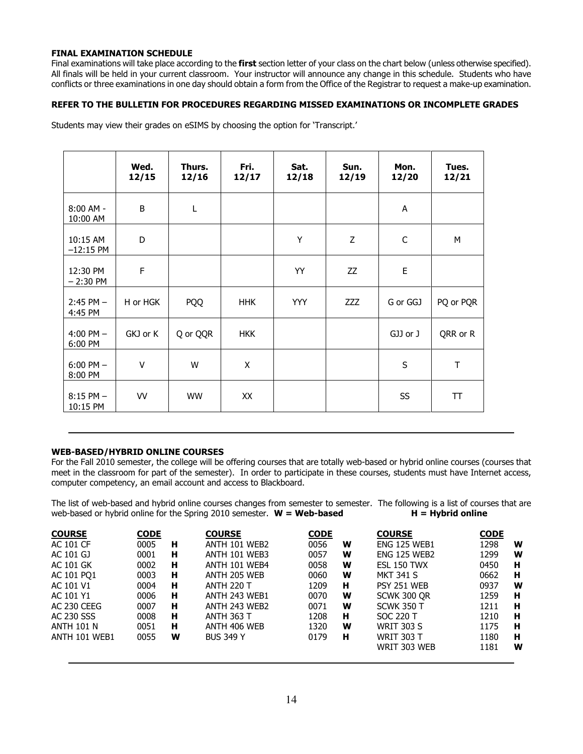## FINAL EXAMINATION SCHEDULE

Final examinations will take place according to the first section letter of your class on the chart below (unless otherwise specified). All finals will be held in your current classroom. Your instructor will announce any change in this schedule. Students who have conflicts or three examinations in one day should obtain a form from the Office of the Registrar to request a make-up examination.

## REFER TO THE BULLETIN FOR PROCEDURES REGARDING MISSED EXAMINATIONS OR INCOMPLETE GRADES

Students may view their grades on eSIMS by choosing the option for 'Transcript.'

|                           | Wed.<br>12/15 | Thurs.<br>12/16 | Fri.<br>12/17 | Sat.<br>12/18 | Sun.<br>12/19 | Mon.<br>12/20 | Tues.<br>12/21 |
|---------------------------|---------------|-----------------|---------------|---------------|---------------|---------------|----------------|
| $8:00$ AM -<br>10:00 AM   | B             | L               |               |               |               | A             |                |
| 10:15 AM<br>$-12:15$ PM   | D             |                 |               | Υ             | Z             | $\mathsf C$   | М              |
| 12:30 PM<br>$-2:30$ PM    | $\mathsf F$   |                 |               | YY            | ZZ            | E             |                |
| $2:45$ PM $-$<br>4:45 PM  | H or HGK      | <b>PQQ</b>      | <b>HHK</b>    | <b>YYY</b>    | <b>ZZZ</b>    | G or GGJ      | PQ or PQR      |
| $4:00$ PM $-$<br>6:00 PM  | GKJ or K      | Q or QQR        | <b>HKK</b>    |               |               | GJJ or J      | QRR or R       |
| $6:00$ PM $-$<br>8:00 PM  | $\vee$        | W               | X             |               |               | $\sf S$       | $\top$         |
| $8:15$ PM $-$<br>10:15 PM | VV            | <b>WW</b>       | XX            |               |               | SS            | <b>TT</b>      |

## WEB-BASED/HYBRID ONLINE COURSES

For the Fall 2010 semester, the college will be offering courses that are totally web-based or hybrid online courses (courses that meet in the classroom for part of the semester). In order to participate in these courses, students must have Internet access, computer competency, an email account and access to Blackboard.

The list of web-based and hybrid online courses changes from semester to semester. The following is a list of courses that are web-based or hybrid online for the Spring 2010 semester.  $W = Web-based$   $H = Hybrid online$ web-based or hybrid online for the Spring 2010 semester.  $W = Web-based$ 

| <b>COURSE</b> | <b>CODE</b> |   | <b>COURSE</b>     | <b>CODE</b> |   | <b>COURSE</b>       | <b>CODE</b> |   |
|---------------|-------------|---|-------------------|-------------|---|---------------------|-------------|---|
| AC 101 CF     | 0005        | н | ANTH 101 WEB2     | 0056        | W | <b>ENG 125 WEB1</b> | 1298        | W |
| AC 101 GJ     | 0001        | н | ANTH 101 WEB3     | 0057        | W | <b>ENG 125 WEB2</b> | 1299        | W |
| AC 101 GK     | 0002        | н | ANTH 101 WEB4     | 0058        | w | ESL 150 TWX         | 0450        | н |
| AC 101 PO1    | 0003        | н | ANTH 205 WEB      | 0060        | w | <b>MKT 341 S</b>    | 0662        | н |
| AC 101 V1     | 0004        | н | ANTH 220 T        | 1209        | н | <b>PSY 251 WEB</b>  | 0937        | W |
| AC 101 Y1     | 0006        | н | ANTH 243 WEB1     | 0070        | W | SCWK 300 OR         | 1259        | н |
| AC 230 CFFG   | 0007        | н | ANTH 243 WEB2     | 0071        | w | <b>SCWK 350 T</b>   | 1211        | н |
| AC 230 SSS    | 0008        | н | <b>ANTH 363 T</b> | 1208        | Н | SOC 220 T           | 1210        | н |
| ANTH 101 N    | 0051        | н | ANTH 406 WEB      | 1320        | w | <b>WRIT 303 S</b>   | 1175        | н |
| ANTH 101 WEB1 | 0055        | W | <b>BUS 349 Y</b>  | 0179        | н | <b>WRIT 303 T</b>   | 1180        | н |
|               |             |   |                   |             |   | WRIT 303 WEB        | 1181        | W |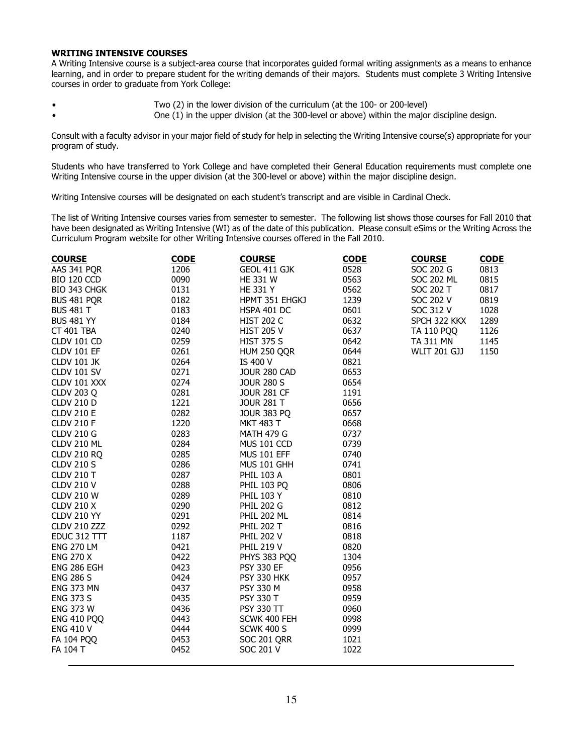## WRITING INTENSIVE COURSES

A Writing Intensive course is a subject-area course that incorporates guided formal writing assignments as a means to enhance learning, and in order to prepare student for the writing demands of their majors. Students must complete 3 Writing Intensive courses in order to graduate from York College:

- **\*** Two (2) in the lower division of the curriculum (at the 100- or 200-level)
- . Cone (1) in the upper division (at the 300-level or above) within the major discipline design.

Consult with a faculty advisor in your major field of study for help in selecting the Writing Intensive course(s) appropriate for your program of study.

Students who have transferred to York College and have completed their General Education requirements must complete one Writing Intensive course in the upper division (at the 300-level or above) within the major discipline design.

Writing Intensive courses will be designated on each student's transcript and are visible in Cardinal Check.

The list of Writing Intensive courses varies from semester to semester. The following list shows those courses for Fall 2010 that have been designated as Writing Intensive (WI) as of the date of this publication. Please consult eSims or the Writing Across the Curriculum Program website for other Writing Intensive courses offered in the Fall 2010.

| <b>COURSE</b>      | <b>CODE</b> | <b>COURSE</b>      | <b>CODE</b> | <b>COURSE</b>       | <b>CODE</b> |
|--------------------|-------------|--------------------|-------------|---------------------|-------------|
| AAS 341 PQR        | 1206        | GEOL 411 GJK       | 0528        | SOC 202 G           | 0813        |
| <b>BIO 120 CCD</b> | 0090        | <b>HE 331 W</b>    | 0563        | <b>SOC 202 ML</b>   | 0815        |
| BIO 343 CHGK       | 0131        | <b>HE 331 Y</b>    | 0562        | SOC 202 T           | 0817        |
| BUS 481 PQR        | 0182        | HPMT 351 EHGKJ     | 1239        | SOC 202 V           | 0819        |
| <b>BUS 481 T</b>   | 0183        | HSPA 401 DC        | 0601        | SOC 312 V           | 1028        |
| <b>BUS 481 YY</b>  | 0184        | <b>HIST 202 C</b>  | 0632        | SPCH 322 KKX        | 1289        |
| <b>CT 401 TBA</b>  | 0240        | <b>HIST 205 V</b>  | 0637        | <b>TA 110 PQQ</b>   | 1126        |
| CLDV 101 CD        | 0259        | <b>HIST 375 S</b>  | 0642        | <b>TA 311 MN</b>    | 1145        |
| CLDV 101 EF        | 0261        | HUM 250 QQR        | 0644        | <b>WLIT 201 GJJ</b> | 1150        |
| <b>CLDV 101 JK</b> | 0264        | IS 400 V           | 0821        |                     |             |
| CLDV 101 SV        | 0271        | JOUR 280 CAD       | 0653        |                     |             |
| CLDV 101 XXX       | 0274        | <b>JOUR 280 S</b>  | 0654        |                     |             |
| <b>CLDV 203 Q</b>  | 0281        | <b>JOUR 281 CF</b> | 1191        |                     |             |
| <b>CLDV 210 D</b>  | 1221        | <b>JOUR 281 T</b>  | 0656        |                     |             |
| <b>CLDV 210 E</b>  | 0282        | <b>JOUR 383 PQ</b> | 0657        |                     |             |
| <b>CLDV 210 F</b>  | 1220        | <b>MKT 483 T</b>   | 0668        |                     |             |
| <b>CLDV 210 G</b>  | 0283        | <b>MATH 479 G</b>  | 0737        |                     |             |
| CLDV 210 ML        | 0284        | <b>MUS 101 CCD</b> | 0739        |                     |             |
| <b>CLDV 210 RQ</b> | 0285        | <b>MUS 101 EFF</b> | 0740        |                     |             |
| <b>CLDV 210 S</b>  | 0286        | MUS 101 GHH        | 0741        |                     |             |
| <b>CLDV 210 T</b>  | 0287        | <b>PHIL 103 A</b>  | 0801        |                     |             |
| <b>CLDV 210 V</b>  | 0288        | <b>PHIL 103 PQ</b> | 0806        |                     |             |
| <b>CLDV 210 W</b>  | 0289        | <b>PHIL 103 Y</b>  | 0810        |                     |             |
| <b>CLDV 210 X</b>  | 0290        | <b>PHIL 202 G</b>  | 0812        |                     |             |
| CLDV 210 YY        | 0291        | PHIL 202 ML        | 0814        |                     |             |
| CLDV 210 ZZZ       | 0292        | <b>PHIL 202 T</b>  | 0816        |                     |             |
| EDUC 312 TTT       | 1187        | <b>PHIL 202 V</b>  | 0818        |                     |             |
| <b>ENG 270 LM</b>  | 0421        | <b>PHIL 219 V</b>  | 0820        |                     |             |
| <b>ENG 270 X</b>   | 0422        | PHYS 383 PQQ       | 1304        |                     |             |
| ENG 286 EGH        | 0423        | <b>PSY 330 EF</b>  | 0956        |                     |             |
| <b>ENG 286 S</b>   | 0424        | PSY 330 HKK        | 0957        |                     |             |
| <b>ENG 373 MN</b>  | 0437        | <b>PSY 330 M</b>   | 0958        |                     |             |
| <b>ENG 373 S</b>   | 0435        | <b>PSY 330 T</b>   | 0959        |                     |             |
| <b>ENG 373 W</b>   | 0436        | <b>PSY 330 TT</b>  | 0960        |                     |             |
| <b>ENG 410 PQQ</b> | 0443        | SCWK 400 FEH       | 0998        |                     |             |
| <b>ENG 410 V</b>   | 0444        | <b>SCWK 400 S</b>  | 0999        |                     |             |
| FA 104 PQQ         | 0453        | <b>SOC 201 QRR</b> | 1021        |                     |             |
| FA 104 T           | 0452        | SOC 201 V          | 1022        |                     |             |
|                    |             |                    |             |                     |             |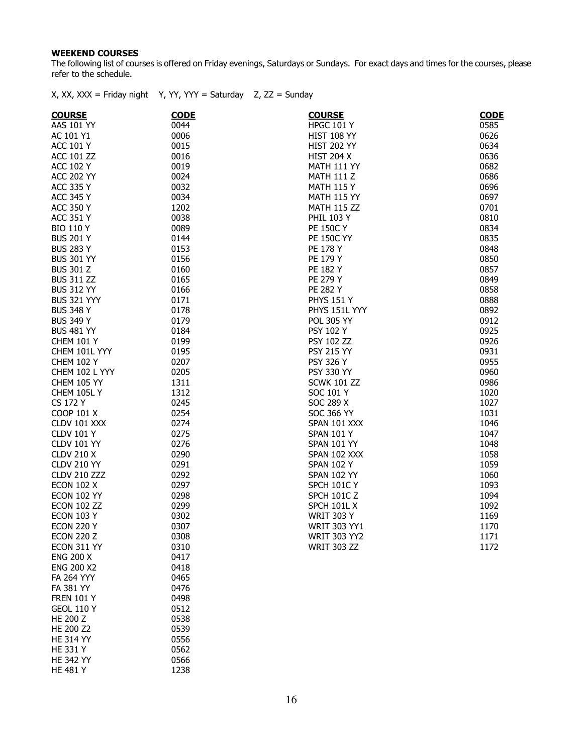## WEEKEND COURSES

HE 342 YY 0566<br>HE 481 Y 1238

HE 481 Y

The following list of courses is offered on Friday evenings, Saturdays or Sundays. For exact days and times for the courses, please refer to the schedule.

X, XX, XXX = Friday night Y, YY, YYY = Saturday  $Z$ , ZZ = Sunday

| <b>COURSE</b>       | <b>CODE</b>  | <b>COURSE</b>       | <u>CODE</u> |
|---------------------|--------------|---------------------|-------------|
| AAS 101 YY          | 0044         | <b>HPGC 101 Y</b>   | 0585        |
| AC 101 Y1           | 0006         | <b>HIST 108 YY</b>  | 0626        |
| <b>ACC 101 Y</b>    | 0015         | <b>HIST 202 YY</b>  | 0634        |
| <b>ACC 101 ZZ</b>   | 0016         | <b>HIST 204 X</b>   | 0636        |
| <b>ACC 102 Y</b>    | 0019         | <b>MATH 111 YY</b>  | 0682        |
| <b>ACC 202 YY</b>   | 0024         | <b>MATH 111 Z</b>   | 0686        |
| <b>ACC 335 Y</b>    | 0032         | <b>MATH 115 Y</b>   | 0696        |
| <b>ACC 345 Y</b>    | 0034         | <b>MATH 115 YY</b>  | 0697        |
| <b>ACC 350 Y</b>    | 1202         | <b>MATH 115 ZZ</b>  | 0701        |
| <b>ACC 351 Y</b>    | 0038         | <b>PHIL 103 Y</b>   | 0810        |
| <b>BIO 110 Y</b>    | 0089         | <b>PE 150C Y</b>    | 0834        |
| <b>BUS 201 Y</b>    | 0144         | <b>PE 150C YY</b>   | 0835        |
| <b>BUS 283 Y</b>    | 0153         | PE 178 Y            | 0848        |
| <b>BUS 301 YY</b>   | 0156         | PE 179 Y            | 0850        |
| <b>BUS 301 Z</b>    | 0160         | PE 182 Y            | 0857        |
| <b>BUS 311 ZZ</b>   | 0165         | PE 279 Y            | 0849        |
| <b>BUS 312 YY</b>   | 0166         | PE 282 Y            | 0858        |
| <b>BUS 321 YYY</b>  | 0171         | <b>PHYS 151 Y</b>   | 0888        |
| <b>BUS 348 Y</b>    | 0178         | PHYS 151L YYY       | 0892        |
| <b>BUS 349 Y</b>    | 0179         | POL 305 YY          | 0912        |
| <b>BUS 481 YY</b>   | 0184         | <b>PSY 102 Y</b>    | 0925        |
|                     |              |                     | 0926        |
| <b>CHEM 101 Y</b>   | 0199<br>0195 | <b>PSY 102 ZZ</b>   | 0931        |
| CHEM 101L YYY       | 0207         | <b>PSY 215 YY</b>   | 0955        |
| <b>CHEM 102 Y</b>   |              | <b>PSY 326 Y</b>    |             |
| CHEM 102 L YYY      | 0205         | <b>PSY 330 YY</b>   | 0960        |
| <b>CHEM 105 YY</b>  | 1311         | <b>SCWK 101 ZZ</b>  | 0986        |
| CHEM 105L Y         | 1312         | <b>SOC 101 Y</b>    | 1020        |
| <b>CS 172 Y</b>     | 0245         | SOC 289 X           | 1027        |
| <b>COOP 101 X</b>   | 0254         | SOC 366 YY          | 1031        |
| CLDV 101 XXX        | 0274         | SPAN 101 XXX        | 1046        |
| <b>CLDV 101 Y</b>   | 0275         | <b>SPAN 101 Y</b>   | 1047        |
| CLDV 101 YY         | 0276         | SPAN 101 YY         | 1048        |
| <b>CLDV 210 X</b>   | 0290         | SPAN 102 XXX        | 1058        |
| CLDV 210 YY         | 0291         | <b>SPAN 102 Y</b>   | 1059        |
| <b>CLDV 210 ZZZ</b> | 0292         | <b>SPAN 102 YY</b>  | 1060        |
| <b>ECON 102 X</b>   | 0297         | SPCH 101C Y         | 1093        |
| ECON 102 YY         | 0298         | SPCH 101CZ          | 1094        |
| <b>ECON 102 ZZ</b>  | 0299         | SPCH 101L X         | 1092        |
| <b>ECON 103 Y</b>   | 0302         | <b>WRIT 303 Y</b>   | 1169        |
| <b>ECON 220 Y</b>   | 0307         | <b>WRIT 303 YY1</b> | 1170        |
| <b>ECON 220 Z</b>   | 0308         | <b>WRIT 303 YY2</b> | 1171        |
| ECON 311 YY         | 0310         | <b>WRIT 303 ZZ</b>  | 1172        |
| <b>ENG 200 X</b>    | 0417         |                     |             |
| <b>ENG 200 X2</b>   | 0418         |                     |             |
| <b>FA 264 YYY</b>   | 0465         |                     |             |
| FA 381 YY           | 0476         |                     |             |
| <b>FREN 101 Y</b>   | 0498         |                     |             |
| <b>GEOL 110 Y</b>   | 0512         |                     |             |
| HE 200 Z            | 0538         |                     |             |
| HE 200 Z2           | 0539         |                     |             |
| <b>HE 314 YY</b>    | 0556         |                     |             |
| <b>HE 331 Y</b>     | 0562         |                     |             |
| <b>HE 342 YY</b>    | 0566         |                     |             |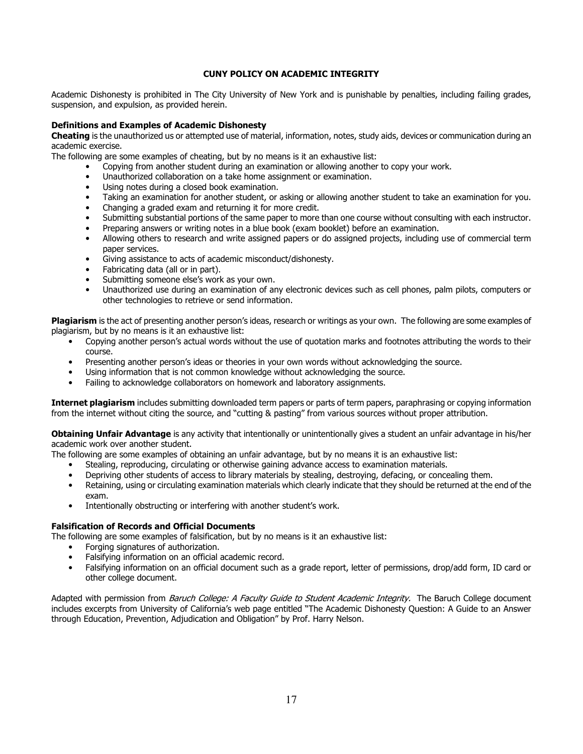## CUNY POLICY ON ACADEMIC INTEGRITY

Academic Dishonesty is prohibited in The City University of New York and is punishable by penalties, including failing grades, suspension, and expulsion, as provided herein.

#### Definitions and Examples of Academic Dishonesty

Cheating is the unauthorized us or attempted use of material, information, notes, study aids, devices or communication during an academic exercise.

The following are some examples of cheating, but by no means is it an exhaustive list:

- Copying from another student during an examination or allowing another to copy your work.
- Unauthorized collaboration on a take home assignment or examination.
- Using notes during a closed book examination.
- Taking an examination for another student, or asking or allowing another student to take an examination for you.
- Changing a graded exam and returning it for more credit.
- Submitting substantial portions of the same paper to more than one course without consulting with each instructor.
- Preparing answers or writing notes in a blue book (exam booklet) before an examination.
- Allowing others to research and write assigned papers or do assigned projects, including use of commercial term paper services.
- Giving assistance to acts of academic misconduct/dishonesty.
- Fabricating data (all or in part).
- Submitting someone else's work as your own.
- Unauthorized use during an examination of any electronic devices such as cell phones, palm pilots, computers or other technologies to retrieve or send information.

Plagiarism is the act of presenting another person's ideas, research or writings as your own. The following are some examples of plagiarism, but by no means is it an exhaustive list:

- Copying another person's actual words without the use of quotation marks and footnotes attributing the words to their course.
- Presenting another person's ideas or theories in your own words without acknowledging the source.
- Using information that is not common knowledge without acknowledging the source.
- Failing to acknowledge collaborators on homework and laboratory assignments.

Internet plagiarism includes submitting downloaded term papers or parts of term papers, paraphrasing or copying information from the internet without citing the source, and "cutting & pasting" from various sources without proper attribution.

Obtaining Unfair Advantage is any activity that intentionally or unintentionally gives a student an unfair advantage in his/her academic work over another student.

The following are some examples of obtaining an unfair advantage, but by no means it is an exhaustive list:

- Stealing, reproducing, circulating or otherwise gaining advance access to examination materials.
- Depriving other students of access to library materials by stealing, destroying, defacing, or concealing them.
- Retaining, using or circulating examination materials which clearly indicate that they should be returned at the end of the exam.
- Intentionally obstructing or interfering with another student's work.

## Falsification of Records and Official Documents

The following are some examples of falsification, but by no means is it an exhaustive list:

- Forging signatures of authorization.
- Falsifying information on an official academic record.
- Falsifying information on an official document such as a grade report, letter of permissions, drop/add form, ID card or other college document.

Adapted with permission from *Baruch College: A Faculty Guide to Student Academic Integrity*. The Baruch College document includes excerpts from University of California's web page entitled "The Academic Dishonesty Question: A Guide to an Answer through Education, Prevention, Adjudication and Obligation" by Prof. Harry Nelson.